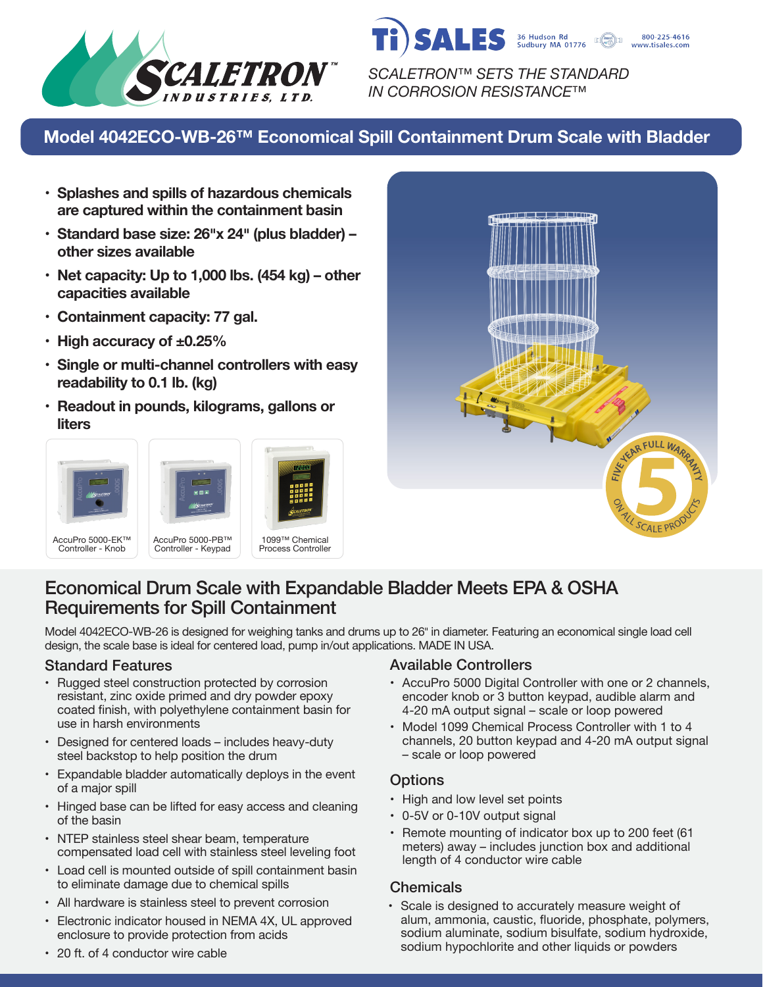



*SCALETRON™ SETS THE STANDARD IN CORROSION RESISTANCE™*

# **Model 4042ECO-WB-26™ Economical Spill Containment Drum Scale with Bladder**

- **• Splashes and spills of hazardous chemicals are captured within the containment basin**
- **• Standard base size: 26�x 24� (plus bladder) – other sizes available**
- **• Net capacity: Up to 1,000 lbs. (454 kg) – other capacities available**
- **• Containment capacity: 77 gal.**
- **• High accuracy of ±0.25%**
- **• Single or multi-channel controllers with easy readability to 0.1 lb. (kg)**
- **• Readout in pounds, kilograms, gallons or liters**









# Economical Drum Scale with Expandable Bladder Meets EPA & OSHA Requirements for Spill Containment

Model 4042ECO-WB-26 is designed for weighing tanks and drums up to 26" in diameter. Featuring an economical single load cell design, the scale base is ideal for centered load, pump in/out applications. MADE IN USA.

- Rugged steel construction protected by corrosion resistant, zinc oxide primed and dry powder epoxy coated finish, with polyethylene containment basin for use in harsh environments
- Designed for centered loads includes heavy-duty steel backstop to help position the drum
- Expandable bladder automatically deploys in the event of a major spill
- Hinged base can be lifted for easy access and cleaning of the basin
- NTEP stainless steel shear beam, temperature compensated load cell with stainless steel leveling foot
- Load cell is mounted outside of spill containment basin to eliminate damage due to chemical spills
- All hardware is stainless steel to prevent corrosion
- Electronic indicator housed in NEMA 4X, UL approved enclosure to provide protection from acids

# Standard Features **Available Controllers** Available Controllers

- AccuPro 5000 Digital Controller with one or 2 channels, encoder knob or 3 button keypad, audible alarm and 4-20 mA output signal – scale or loop powered
- Model 1099 Chemical Process Controller with 1 to 4 channels, 20 button keypad and 4-20 mA output signal – scale or loop powered

# **Options**

- High and low level set points
- 0-5V or 0-10V output signal
- Remote mounting of indicator box up to 200 feet (61 meters) away – includes junction box and additional length of 4 conductor wire cable

# **Chemicals**

• Scale is designed to accurately measure weight of alum, ammonia, caustic, fluoride, phosphate, polymers, sodium aluminate, sodium bisulfate, sodium hydroxide, sodium hypochlorite and other liquids or powders

• 20 ft. of 4 conductor wire cable